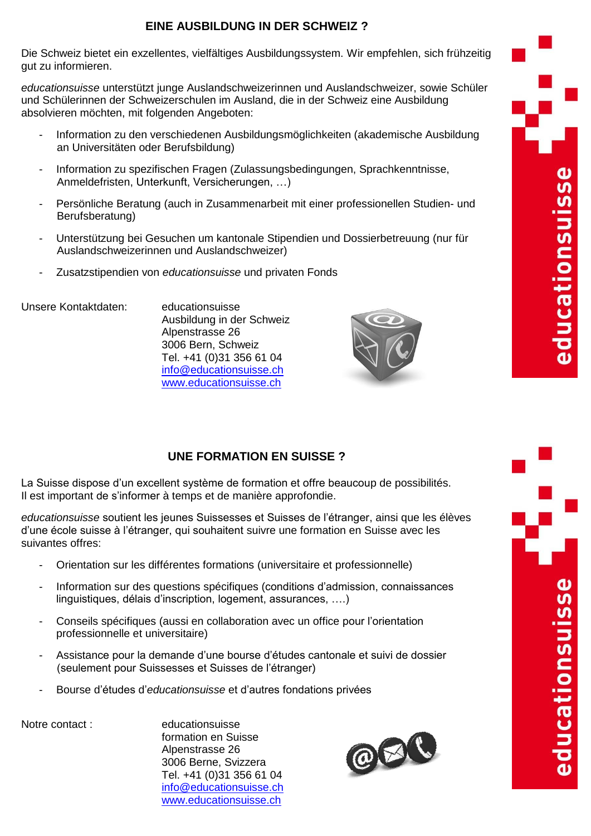## **EINE AUSBILDUNG IN DER SCHWEIZ ?**

Die Schweiz bietet ein exzellentes, vielfältiges Ausbildungssystem. Wir empfehlen, sich frühzeitig gut zu informieren.

*educationsuisse* unterstützt junge Auslandschweizerinnen und Auslandschweizer, sowie Schüler und Schülerinnen der Schweizerschulen im Ausland, die in der Schweiz eine Ausbildung absolvieren möchten, mit folgenden Angeboten:

- Information zu den verschiedenen Ausbildungsmöglichkeiten (akademische Ausbildung an Universitäten oder Berufsbildung)
- Information zu spezifischen Fragen (Zulassungsbedingungen, Sprachkenntnisse, Anmeldefristen, Unterkunft, Versicherungen, …)
- Persönliche Beratung (auch in Zusammenarbeit mit einer professionellen Studien- und Berufsberatung)
- Unterstützung bei Gesuchen um kantonale Stipendien und Dossierbetreuung (nur für Auslandschweizerinnen und Auslandschweizer)
- Zusatzstipendien von *educationsuisse* und privaten Fonds

Unsere Kontaktdaten: educationsuisse

Ausbildung in der Schweiz Alpenstrasse 26 3006 Bern, Schweiz Tel. +41 (0)31 356 61 04 [info@educationsuisse.ch](mailto:info@educationsuisse.ch) [www.educationsuisse.ch](http://www.educationsuisse.ch/)



**SSE** 

educationsui

## **UNE FORMATION EN SUISSE ?**

La Suisse dispose d'un excellent système de formation et offre beaucoup de possibilités. Il est important de s'informer à temps et de manière approfondie.

*educationsuisse* soutient les jeunes Suissesses et Suisses de l'étranger, ainsi que les élèves d'une école suisse à l'étranger, qui souhaitent suivre une formation en Suisse avec les suivantes offres:

- Orientation sur les différentes formations (universitaire et professionnelle)
- Information sur des questions spécifiques (conditions d'admission, connaissances linguistiques, délais d'inscription, logement, assurances, ….)
- Conseils spécifiques (aussi en collaboration avec un office pour l'orientation professionnelle et universitaire)
- Assistance pour la demande d'une bourse d'études cantonale et suivi de dossier (seulement pour Suissesses et Suisses de l'étranger)
- Bourse d'études d'*educationsuisse* et d'autres fondations privées

Notre contact : educationsuisse formation en Suisse Alpenstrasse 26 3006 Berne, Svizzera Tel. +41 (0)31 356 61 04 [info@educationsuisse.ch](mailto:info@educationsuisse.ch) [www.educationsuisse.ch](http://www.educationsuisse.ch/)